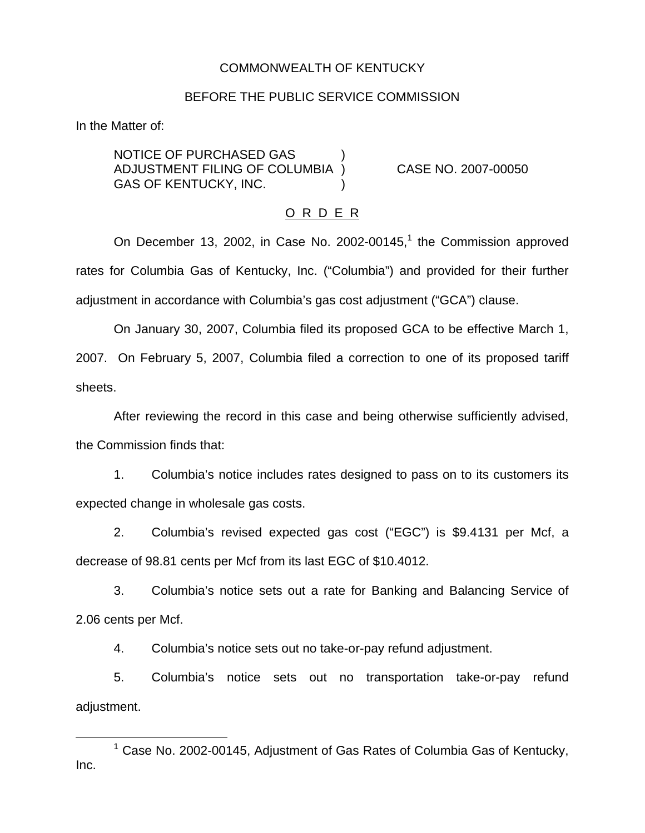# COMMONWEALTH OF KENTUCKY

### BEFORE THE PUBLIC SERVICE COMMISSION

In the Matter of:

NOTICE OF PURCHASED GAS ) ADJUSTMENT FILING OF COLUMBIA ) CASE NO. 2007-00050 GAS OF KENTUCKY, INC.

### O R D E R

On December 13, 2002, in Case No. 2002-00145, $<sup>1</sup>$  the Commission approved</sup> rates for Columbia Gas of Kentucky, Inc. ("Columbia") and provided for their further adjustment in accordance with Columbia's gas cost adjustment ("GCA") clause.

On January 30, 2007, Columbia filed its proposed GCA to be effective March 1, 2007. On February 5, 2007, Columbia filed a correction to one of its proposed tariff sheets.

After reviewing the record in this case and being otherwise sufficiently advised, the Commission finds that:

1. Columbia's notice includes rates designed to pass on to its customers its expected change in wholesale gas costs.

2. Columbia's revised expected gas cost ("EGC") is \$9.4131 per Mcf, a decrease of 98.81 cents per Mcf from its last EGC of \$10.4012.

3. Columbia's notice sets out a rate for Banking and Balancing Service of 2.06 cents per Mcf.

4. Columbia's notice sets out no take-or-pay refund adjustment.

5. Columbia's notice sets out no transportation take-or-pay refund adjustment.

 $1$  Case No. 2002-00145, Adjustment of Gas Rates of Columbia Gas of Kentucky, Inc.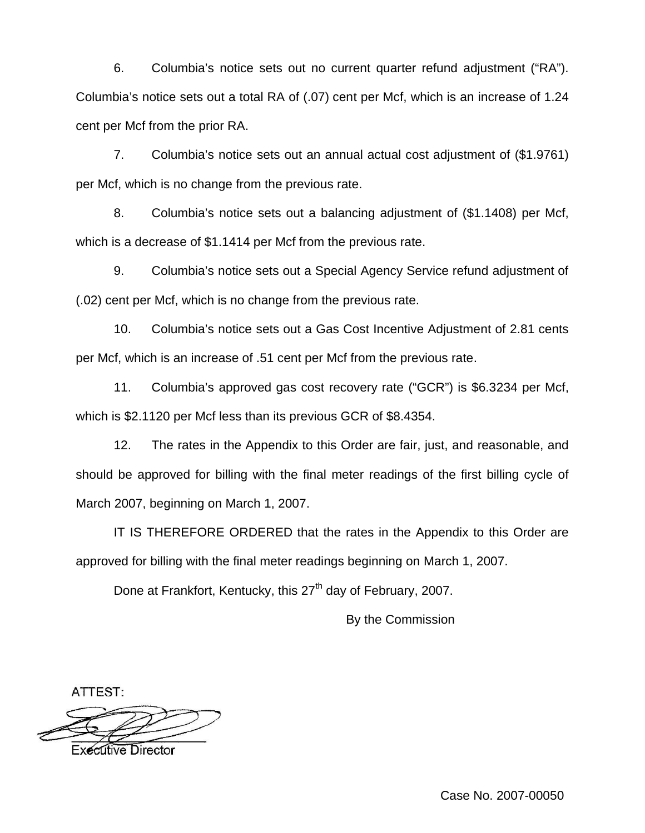6. Columbia's notice sets out no current quarter refund adjustment ("RA"). Columbia's notice sets out a total RA of (.07) cent per Mcf, which is an increase of 1.24 cent per Mcf from the prior RA.

7. Columbia's notice sets out an annual actual cost adjustment of (\$1.9761) per Mcf, which is no change from the previous rate.

8. Columbia's notice sets out a balancing adjustment of (\$1.1408) per Mcf, which is a decrease of \$1.1414 per Mcf from the previous rate.

9. Columbia's notice sets out a Special Agency Service refund adjustment of (.02) cent per Mcf, which is no change from the previous rate.

10. Columbia's notice sets out a Gas Cost Incentive Adjustment of 2.81 cents per Mcf, which is an increase of .51 cent per Mcf from the previous rate.

11. Columbia's approved gas cost recovery rate ("GCR") is \$6.3234 per Mcf, which is \$2.1120 per Mcf less than its previous GCR of \$8.4354.

12. The rates in the Appendix to this Order are fair, just, and reasonable, and should be approved for billing with the final meter readings of the first billing cycle of March 2007, beginning on March 1, 2007.

IT IS THEREFORE ORDERED that the rates in the Appendix to this Order are approved for billing with the final meter readings beginning on March 1, 2007.

Done at Frankfort, Kentucky, this 27<sup>th</sup> day of February, 2007.

By the Commission

ATTEST:



Executive Director